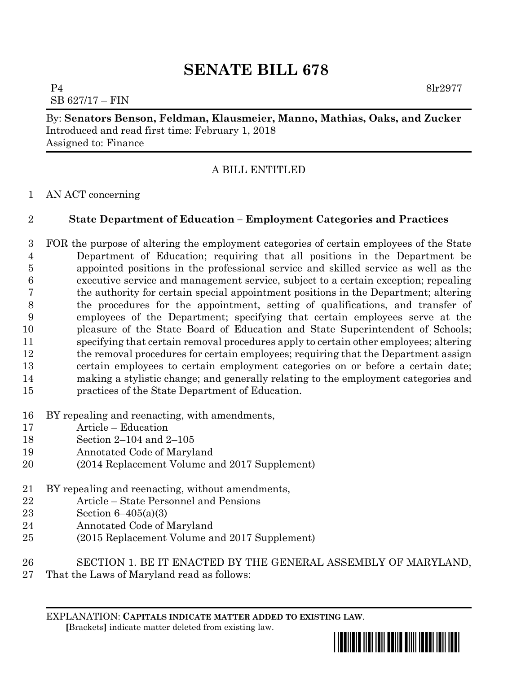# **SENATE BILL 678**

P4 8lr2977 SB 627/17 – FIN

By: **Senators Benson, Feldman, Klausmeier, Manno, Mathias, Oaks, and Zucker** Introduced and read first time: February 1, 2018 Assigned to: Finance

## A BILL ENTITLED

## AN ACT concerning

## **State Department of Education – Employment Categories and Practices**

 FOR the purpose of altering the employment categories of certain employees of the State Department of Education; requiring that all positions in the Department be appointed positions in the professional service and skilled service as well as the executive service and management service, subject to a certain exception; repealing the authority for certain special appointment positions in the Department; altering the procedures for the appointment, setting of qualifications, and transfer of employees of the Department; specifying that certain employees serve at the pleasure of the State Board of Education and State Superintendent of Schools; specifying that certain removal procedures apply to certain other employees; altering the removal procedures for certain employees; requiring that the Department assign certain employees to certain employment categories on or before a certain date; making a stylistic change; and generally relating to the employment categories and practices of the State Department of Education.

- BY repealing and reenacting, with amendments,
- Article Education
- Section 2–104 and 2–105
- Annotated Code of Maryland
- (2014 Replacement Volume and 2017 Supplement)
- BY repealing and reenacting, without amendments,
- Article State Personnel and Pensions
- Section 6–405(a)(3)
- Annotated Code of Maryland
- (2015 Replacement Volume and 2017 Supplement)
- SECTION 1. BE IT ENACTED BY THE GENERAL ASSEMBLY OF MARYLAND,
- That the Laws of Maryland read as follows:

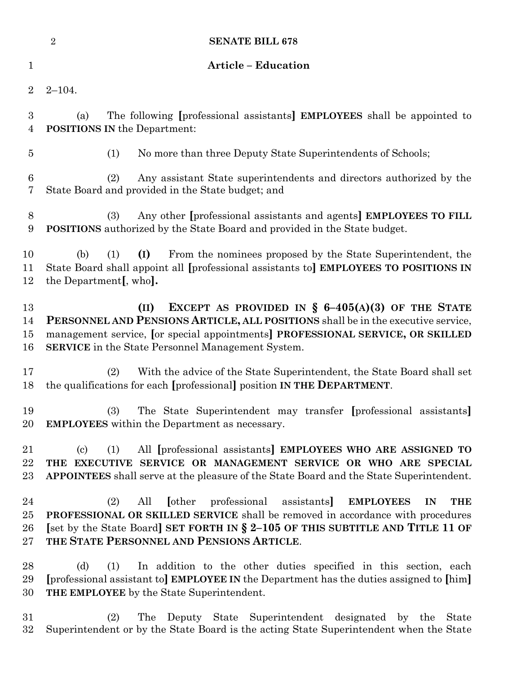|                       | $\overline{2}$<br><b>SENATE BILL 678</b>                                                                                                                                                                                                                                                               |                                                                                                                                                                                                                                 |
|-----------------------|--------------------------------------------------------------------------------------------------------------------------------------------------------------------------------------------------------------------------------------------------------------------------------------------------------|---------------------------------------------------------------------------------------------------------------------------------------------------------------------------------------------------------------------------------|
| $\mathbf 1$           | <b>Article - Education</b>                                                                                                                                                                                                                                                                             |                                                                                                                                                                                                                                 |
| $\overline{2}$        | $2 - 104.$                                                                                                                                                                                                                                                                                             |                                                                                                                                                                                                                                 |
| 3<br>4                | The following [professional assistants] <b>EMPLOYEES</b> shall be appointed to<br>(a)<br><b>POSITIONS IN the Department:</b>                                                                                                                                                                           |                                                                                                                                                                                                                                 |
| $\overline{5}$        | (1)                                                                                                                                                                                                                                                                                                    | No more than three Deputy State Superintendents of Schools;                                                                                                                                                                     |
| $\boldsymbol{6}$<br>7 | (2)<br>State Board and provided in the State budget; and                                                                                                                                                                                                                                               | Any assistant State superintendents and directors authorized by the                                                                                                                                                             |
| 8<br>9                | (3)                                                                                                                                                                                                                                                                                                    | Any other [professional assistants and agents] EMPLOYEES TO FILL<br>POSITIONS authorized by the State Board and provided in the State budget.                                                                                   |
| 10<br>11<br>12        | (I)<br>(b)<br>(1)<br>the Department <sub>[, who</sub> ].                                                                                                                                                                                                                                               | From the nominees proposed by the State Superintendent, the<br>State Board shall appoint all [professional assistants to] EMPLOYEES TO POSITIONS IN                                                                             |
| 13<br>14<br>15<br>16  | EXCEPT AS PROVIDED IN § $6-405(A)(3)$ OF THE STATE<br>(II)<br>PERSONNEL AND PENSIONS ARTICLE, ALL POSITIONS shall be in the executive service,<br>management service, [or special appointments] PROFESSIONAL SERVICE, OR SKILLED<br><b>SERVICE</b> in the State Personnel Management System.           |                                                                                                                                                                                                                                 |
| 17<br>18              | (2)                                                                                                                                                                                                                                                                                                    | With the advice of the State Superintendent, the State Board shall set<br>the qualifications for each [professional] position IN THE DEPARTMENT.                                                                                |
| 19<br>20              | (3)<br>The State Superintendent may transfer [professional assistants]<br><b>EMPLOYEES</b> within the Department as necessary.                                                                                                                                                                         |                                                                                                                                                                                                                                 |
| 21<br>22<br>23        | $\left( \mathrm{c}\right)$<br>(1)                                                                                                                                                                                                                                                                      | All [professional assistants] EMPLOYEES WHO ARE ASSIGNED TO<br>THE EXECUTIVE SERVICE OR MANAGEMENT SERVICE OR WHO ARE SPECIAL<br><b>APPOINTEES</b> shall serve at the pleasure of the State Board and the State Superintendent. |
| 24<br>25<br>26<br>27  | [other professional assistants]<br>All<br>(2)<br><b>EMPLOYEES</b><br><b>THE</b><br>IN<br>PROFESSIONAL OR SKILLED SERVICE shall be removed in accordance with procedures<br>[set by the State Board] SET FORTH IN § 2-105 OF THIS SUBTITLE AND TITLE 11 OF<br>THE STATE PERSONNEL AND PENSIONS ARTICLE. |                                                                                                                                                                                                                                 |
| 28<br>29<br>30        | In addition to the other duties specified in this section, each<br>(d)<br>(1)<br>[professional assistant to] <b>EMPLOYEE IN</b> the Department has the duties assigned to [him]<br>THE EMPLOYEE by the State Superintendent.                                                                           |                                                                                                                                                                                                                                 |
| 31<br>32              | The<br>(2)                                                                                                                                                                                                                                                                                             | Deputy State Superintendent designated by the<br><b>State</b><br>Superintendent or by the State Board is the acting State Superintendent when the State                                                                         |